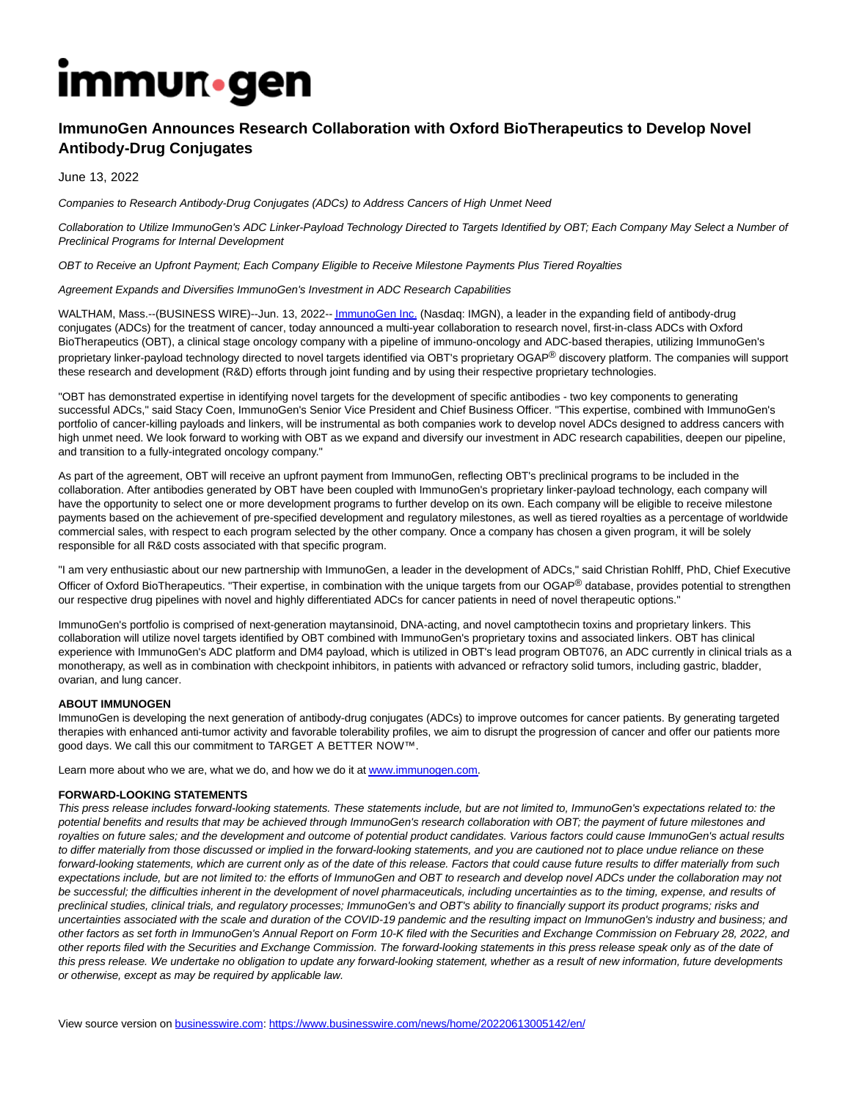# **Immun**.gen

## **ImmunoGen Announces Research Collaboration with Oxford BioTherapeutics to Develop Novel Antibody-Drug Conjugates**

June 13, 2022

Companies to Research Antibody-Drug Conjugates (ADCs) to Address Cancers of High Unmet Need

Collaboration to Utilize ImmunoGen's ADC Linker-Payload Technology Directed to Targets Identified by OBT; Each Company May Select a Number of Preclinical Programs for Internal Development

OBT to Receive an Upfront Payment; Each Company Eligible to Receive Milestone Payments Plus Tiered Royalties

#### Agreement Expands and Diversifies ImmunoGen's Investment in ADC Research Capabilities

WALTHAM, Mass.--(BUSINESS WIRE)--Jun. 13, 2022-[- ImmunoGen Inc. \(](https://cts.businesswire.com/ct/CT?id=smartlink&url=http%3A%2F%2Fwww.immunogen.com&esheet=52746489&newsitemid=20220613005142&lan=en-US&anchor=ImmunoGen+Inc.&index=1&md5=b4e4005214d47a9edbd3324a874e8fce)Nasdaq: IMGN), a leader in the expanding field of antibody-drug conjugates (ADCs) for the treatment of cancer, today announced a multi-year collaboration to research novel, first-in-class ADCs with Oxford BioTherapeutics (OBT), a clinical stage oncology company with a pipeline of immuno-oncology and ADC-based therapies, utilizing ImmunoGen's proprietary linker-payload technology directed to novel targets identified via OBT's proprietary OGAP® discovery platform. The companies will support these research and development (R&D) efforts through joint funding and by using their respective proprietary technologies.

"OBT has demonstrated expertise in identifying novel targets for the development of specific antibodies - two key components to generating successful ADCs," said Stacy Coen, ImmunoGen's Senior Vice President and Chief Business Officer. "This expertise, combined with ImmunoGen's portfolio of cancer-killing payloads and linkers, will be instrumental as both companies work to develop novel ADCs designed to address cancers with high unmet need. We look forward to working with OBT as we expand and diversify our investment in ADC research capabilities, deepen our pipeline, and transition to a fully-integrated oncology company."

As part of the agreement, OBT will receive an upfront payment from ImmunoGen, reflecting OBT's preclinical programs to be included in the collaboration. After antibodies generated by OBT have been coupled with ImmunoGen's proprietary linker-payload technology, each company will have the opportunity to select one or more development programs to further develop on its own. Each company will be eligible to receive milestone payments based on the achievement of pre-specified development and regulatory milestones, as well as tiered royalties as a percentage of worldwide commercial sales, with respect to each program selected by the other company. Once a company has chosen a given program, it will be solely responsible for all R&D costs associated with that specific program.

"I am very enthusiastic about our new partnership with ImmunoGen, a leader in the development of ADCs," said Christian Rohlff, PhD, Chief Executive Officer of Oxford BioTherapeutics. "Their expertise, in combination with the unique targets from our OGAP® database, provides potential to strengthen our respective drug pipelines with novel and highly differentiated ADCs for cancer patients in need of novel therapeutic options."

ImmunoGen's portfolio is comprised of next-generation maytansinoid, DNA-acting, and novel camptothecin toxins and proprietary linkers. This collaboration will utilize novel targets identified by OBT combined with ImmunoGen's proprietary toxins and associated linkers. OBT has clinical experience with ImmunoGen's ADC platform and DM4 payload, which is utilized in OBT's lead program OBT076, an ADC currently in clinical trials as a monotherapy, as well as in combination with checkpoint inhibitors, in patients with advanced or refractory solid tumors, including gastric, bladder, ovarian, and lung cancer.

#### **ABOUT IMMUNOGEN**

ImmunoGen is developing the next generation of antibody-drug conjugates (ADCs) to improve outcomes for cancer patients. By generating targeted therapies with enhanced anti-tumor activity and favorable tolerability profiles, we aim to disrupt the progression of cancer and offer our patients more good days. We call this our commitment to TARGET A BETTER NOW™.

Learn more about who we are, what we do, and how we do it a[t www.immunogen.com.](https://cts.businesswire.com/ct/CT?id=smartlink&url=http%3A%2F%2Fwww.immunogen.com&esheet=52746489&newsitemid=20220613005142&lan=en-US&anchor=www.immunogen.com&index=2&md5=55727a797e6d3d33b9e404cc96a05b4b)

#### **FORWARD-LOOKING STATEMENTS**

This press release includes forward-looking statements. These statements include, but are not limited to, ImmunoGen's expectations related to: the potential benefits and results that may be achieved through ImmunoGen's research collaboration with OBT; the payment of future milestones and royalties on future sales; and the development and outcome of potential product candidates. Various factors could cause ImmunoGen's actual results to differ materially from those discussed or implied in the forward-looking statements, and you are cautioned not to place undue reliance on these forward-looking statements, which are current only as of the date of this release. Factors that could cause future results to differ materially from such expectations include, but are not limited to: the efforts of ImmunoGen and OBT to research and develop novel ADCs under the collaboration may not be successful; the difficulties inherent in the development of novel pharmaceuticals, including uncertainties as to the timing, expense, and results of preclinical studies, clinical trials, and regulatory processes; ImmunoGen's and OBT's ability to financially support its product programs; risks and uncertainties associated with the scale and duration of the COVID-19 pandemic and the resulting impact on ImmunoGen's industry and business; and other factors as set forth in ImmunoGen's Annual Report on Form 10-K filed with the Securities and Exchange Commission on February 28, 2022, and other reports filed with the Securities and Exchange Commission. The forward-looking statements in this press release speak only as of the date of this press release. We undertake no obligation to update any forward-looking statement, whether as a result of new information, future developments or otherwise, except as may be required by applicable law.